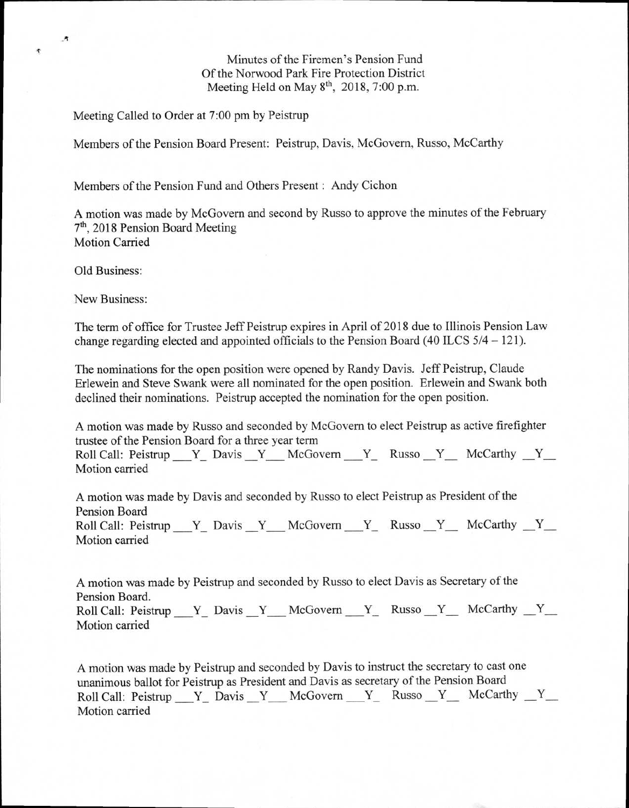Minutes of the Firemen's Pension Fund Of the Norwood Park Fire Protection District Meeting Held on May  $8<sup>th</sup>$ , 2018, 7:00 p.m.

Meeting Called to Order at 7:00 pm by Peistrup

Members of the Pension Board Present: Peistrup, Davis, McGovern, Russo, McCarthy

Members of the Pension Fund and Others Present : Andy Cichon

A motion was made by McGovern and second by Russo to approve the minutes of the February 7th , 2018 Pension Board Meeting Motion Carried

Old Business:

c

New Business:

The term of office for Trustee Jeff Peistrup expires in April of 2018 due to Illinois Pension Law change regarding elected and appointed officials to the Pension Board (40 ILCS 5/4 — 121).

The nominations for the open position were opened by Randy Davis. Jeff Peistrup, Claude Erlewein and Steve Swank were all nominated for the open position. Erlewein and Swank both declined their nominations. Peistrup accepted the nomination for the open position.

A motion was made by Russo and seconded by McGovern to elect Peistrup as active firefighter trustee of the Pension Board for a three year term

Roll Call: Peistrup  $Y_$  Davis  $Y_$  McGovern  $Y_$  Russo  $Y_$  McCarthy  $Y_$ Motion carried

A motion was made by Davis and seconded by Russo to elect Peistrup as President of the Pension Board Roll Call: Peistrup Y Davis Y McGovern Y Russo Y McCarthy Y Motion carried

A motion was made by Peistrup and seconded by Russo to elect Davis as Secretary of the Pension Board.

Roll Call: Peistrup Y Davis Y McGovern Y Russo Y McCarthy Y Motion carried

A motion was made by Peistrup and seconded by Davis to instruct the secretary to cast one unanimous ballot for Peistrup as President and Davis as secretary of the Pension Board Roll Call: Peistrup  $Y_$  Davis  $Y_$  McGovern  $Y_$  Russo  $Y_$  McCarthy  $Y_$ Motion carried